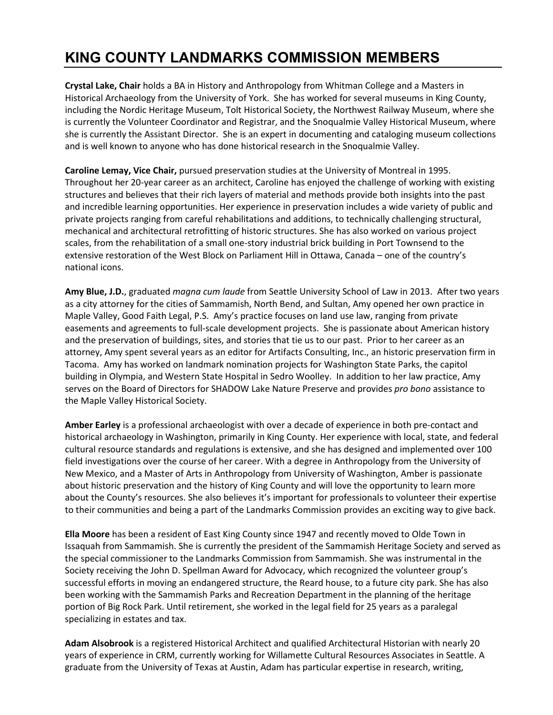## **KING COUNTY LANDMARKS COMMISSION MEMBERS**

**Crystal Lake, Chair** holds a BA in History and Anthropology from Whitman College and a Masters in Historical Archaeology from the University of York. She has worked for several museums in King County, including the Nordic Heritage Museum, Tolt Historical Society, the Northwest Railway Museum, where she is currently the Volunteer Coordinator and Registrar, and the Snoqualmie Valley Historical Museum, where she is currently the Assistant Director. She is an expert in documenting and cataloging museum collections and is well known to anyone who has done historical research in the Snoqualmie Valley.

**Caroline Lemay, Vice Chair,** pursued preservation studies at the University of Montreal in 1995. Throughout her 20-year career as an architect, Caroline has enjoyed the challenge of working with existing structures and believes that their rich layers of material and methods provide both insights into the past and incredible learning opportunities. Her experience in preservation includes a wide variety of public and private projects ranging from careful rehabilitations and additions, to technically challenging structural, mechanical and architectural retrofitting of historic structures. She has also worked on various project scales, from the rehabilitation of a small one-story industrial brick building in Port Townsend to the extensive restoration of the West Block on Parliament Hill in Ottawa, Canada – one of the country's national icons.

**Amy Blue, J.D.**, graduated *magna cum laude* from Seattle University School of Law in 2013. After two years as a city attorney for the cities of Sammamish, North Bend, and Sultan, Amy opened her own practice in Maple Valley, Good Faith Legal, P.S. Amy's practice focuses on land use law, ranging from private easements and agreements to full-scale development projects. She is passionate about American history and the preservation of buildings, sites, and stories that tie us to our past. Prior to her career as an attorney, Amy spent several years as an editor for Artifacts Consulting, Inc., an historic preservation firm in Tacoma. Amy has worked on landmark nomination projects for Washington State Parks, the capitol building in Olympia, and Western State Hospital in Sedro Woolley. In addition to her law practice, Amy serves on the Board of Directors for SHADOW Lake Nature Preserve and provides *pro bono* assistance to the Maple Valley Historical Society.

**Amber Earley** is a professional archaeologist with over a decade of experience in both pre-contact and historical archaeology in Washington, primarily in King County. Her experience with local, state, and federal cultural resource standards and regulations is extensive, and she has designed and implemented over 100 field investigations over the course of her career. With a degree in Anthropology from the University of New Mexico, and a Master of Arts in Anthropology from University of Washington, Amber is passionate about historic preservation and the history of King County and will love the opportunity to learn more about the County's resources. She also believes it's important for professionals to volunteer their expertise to their communities and being a part of the Landmarks Commission provides an exciting way to give back.

**Ella Moore** has been a resident of East King County since 1947 and recently moved to Olde Town in Issaquah from Sammamish. She is currently the president of the Sammamish Heritage Society and served as the special commissioner to the Landmarks Commission from Sammamish. She was instrumental in the Society receiving the John D. Spellman Award for Advocacy, which recognized the volunteer group's successful efforts in moving an endangered structure, the Reard house, to a future city park. She has also been working with the Sammamish Parks and Recreation Department in the planning of the heritage portion of Big Rock Park. Until retirement, she worked in the legal field for 25 years as a paralegal specializing in estates and tax.

**Adam Alsobrook** is a registered Historical Architect and qualified Architectural Historian with nearly 20 years of experience in CRM, currently working for Willamette Cultural Resources Associates in Seattle. A graduate from the University of Texas at Austin, Adam has particular expertise in research, writing,